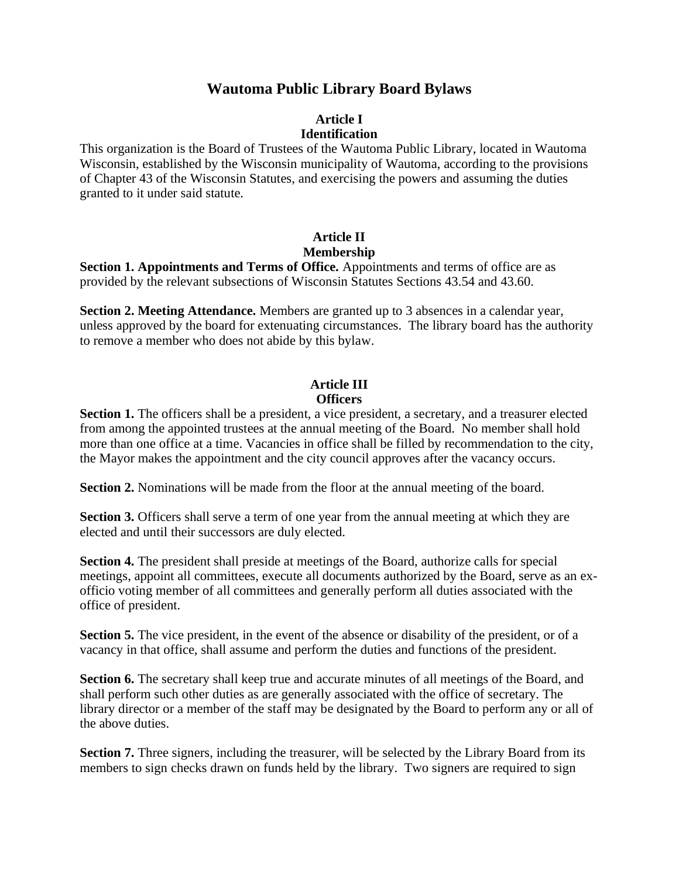## **Wautoma Public Library Board Bylaws**

#### **Article I Identification**

This organization is the Board of Trustees of the Wautoma Public Library, located in Wautoma Wisconsin, established by the Wisconsin municipality of Wautoma, according to the provisions of Chapter 43 of the Wisconsin Statutes, and exercising the powers and assuming the duties granted to it under said statute.

#### **Article II Membership**

**Section 1. Appointments and Terms of Office.** Appointments and terms of office are as provided by the relevant subsections of Wisconsin Statutes Sections 43.54 and 43.60.

**Section 2. Meeting Attendance.** Members are granted up to 3 absences in a calendar year, unless approved by the board for extenuating circumstances. The library board has the authority to remove a member who does not abide by this bylaw.

#### **Article III Officers**

**Section 1.** The officers shall be a president, a vice president, a secretary, and a treasurer elected from among the appointed trustees at the annual meeting of the Board. No member shall hold more than one office at a time. Vacancies in office shall be filled by recommendation to the city, the Mayor makes the appointment and the city council approves after the vacancy occurs.

**Section 2.** Nominations will be made from the floor at the annual meeting of the board.

**Section 3.** Officers shall serve a term of one year from the annual meeting at which they are elected and until their successors are duly elected.

**Section 4.** The president shall preside at meetings of the Board, authorize calls for special meetings, appoint all committees, execute all documents authorized by the Board, serve as an exofficio voting member of all committees and generally perform all duties associated with the office of president.

**Section 5.** The vice president, in the event of the absence or disability of the president, or of a vacancy in that office, shall assume and perform the duties and functions of the president.

**Section 6.** The secretary shall keep true and accurate minutes of all meetings of the Board, and shall perform such other duties as are generally associated with the office of secretary. The library director or a member of the staff may be designated by the Board to perform any or all of the above duties.

**Section 7.** Three signers, including the treasurer, will be selected by the Library Board from its members to sign checks drawn on funds held by the library. Two signers are required to sign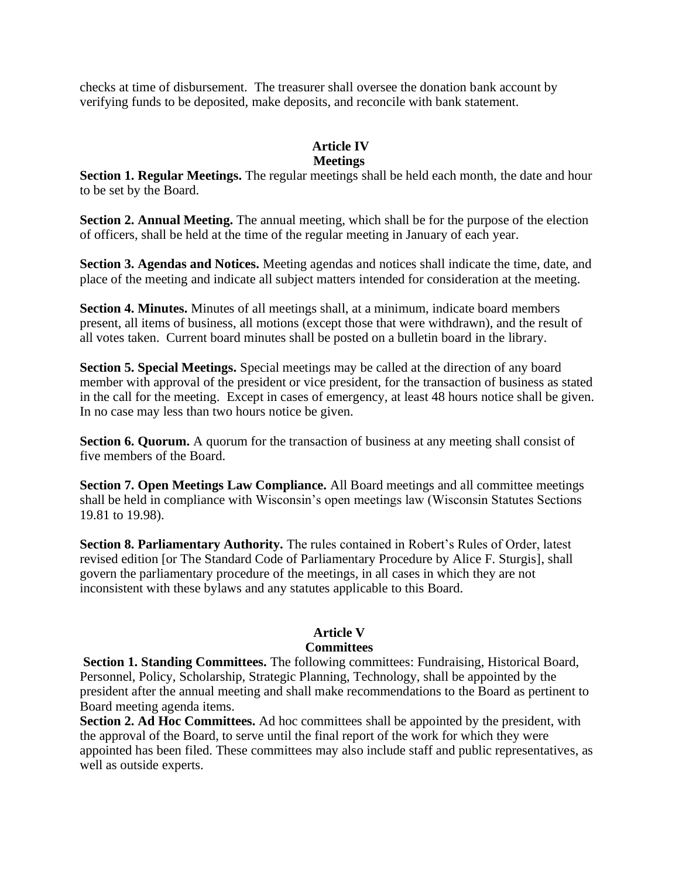checks at time of disbursement. The treasurer shall oversee the donation bank account by verifying funds to be deposited, make deposits, and reconcile with bank statement.

#### **Article IV Meetings**

#### **Section 1. Regular Meetings.** The regular meetings shall be held each month, the date and hour to be set by the Board.

**Section 2. Annual Meeting.** The annual meeting, which shall be for the purpose of the election of officers, shall be held at the time of the regular meeting in January of each year.

**Section 3. Agendas and Notices.** Meeting agendas and notices shall indicate the time, date, and place of the meeting and indicate all subject matters intended for consideration at the meeting.

**Section 4. Minutes.** Minutes of all meetings shall, at a minimum, indicate board members present, all items of business, all motions (except those that were withdrawn), and the result of all votes taken. Current board minutes shall be posted on a bulletin board in the library.

**Section 5. Special Meetings.** Special meetings may be called at the direction of any board member with approval of the president or vice president, for the transaction of business as stated in the call for the meeting. Except in cases of emergency, at least 48 hours notice shall be given. In no case may less than two hours notice be given.

**Section 6. Quorum.** A quorum for the transaction of business at any meeting shall consist of five members of the Board.

**Section 7. Open Meetings Law Compliance.** All Board meetings and all committee meetings shall be held in compliance with Wisconsin's open meetings law (Wisconsin Statutes Sections 19.81 to 19.98).

**Section 8. Parliamentary Authority.** The rules contained in Robert's Rules of Order, latest revised edition [or The Standard Code of Parliamentary Procedure by Alice F. Sturgis], shall govern the parliamentary procedure of the meetings, in all cases in which they are not inconsistent with these bylaws and any statutes applicable to this Board.

#### **Article V Committees**

**Section 1. Standing Committees.** The following committees: Fundraising, Historical Board, Personnel, Policy, Scholarship, Strategic Planning, Technology, shall be appointed by the president after the annual meeting and shall make recommendations to the Board as pertinent to Board meeting agenda items.

**Section 2. Ad Hoc Committees.** Ad hoc committees shall be appointed by the president, with the approval of the Board, to serve until the final report of the work for which they were appointed has been filed. These committees may also include staff and public representatives, as well as outside experts.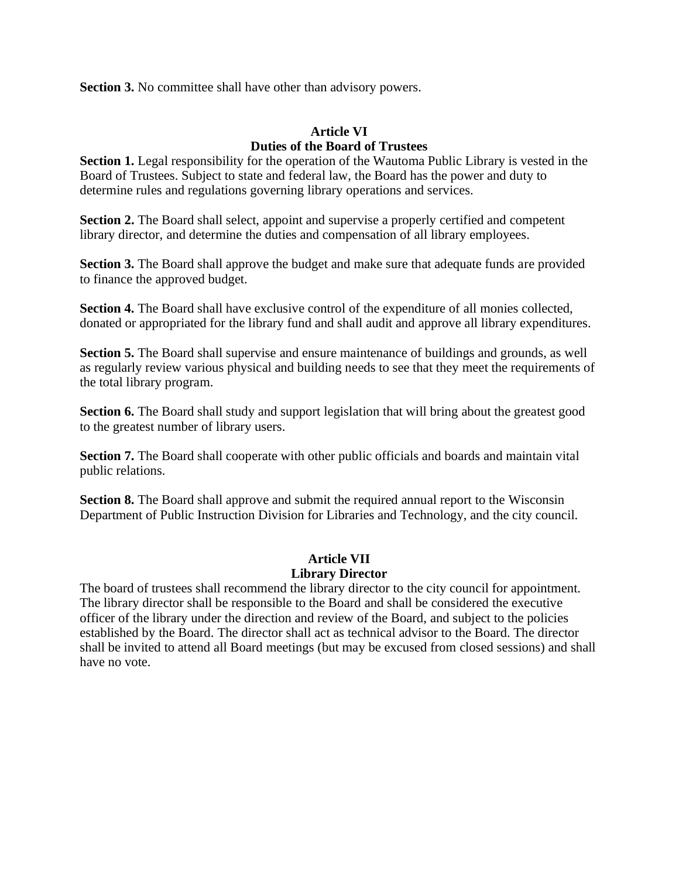**Section 3.** No committee shall have other than advisory powers.

#### **Article VI Duties of the Board of Trustees**

**Section 1.** Legal responsibility for the operation of the Wautoma Public Library is vested in the Board of Trustees. Subject to state and federal law, the Board has the power and duty to determine rules and regulations governing library operations and services.

**Section 2.** The Board shall select, appoint and supervise a properly certified and competent library director, and determine the duties and compensation of all library employees.

**Section 3.** The Board shall approve the budget and make sure that adequate funds are provided to finance the approved budget.

**Section 4.** The Board shall have exclusive control of the expenditure of all monies collected, donated or appropriated for the library fund and shall audit and approve all library expenditures.

**Section 5.** The Board shall supervise and ensure maintenance of buildings and grounds, as well as regularly review various physical and building needs to see that they meet the requirements of the total library program.

**Section 6.** The Board shall study and support legislation that will bring about the greatest good to the greatest number of library users.

**Section 7.** The Board shall cooperate with other public officials and boards and maintain vital public relations.

**Section 8.** The Board shall approve and submit the required annual report to the Wisconsin Department of Public Instruction Division for Libraries and Technology, and the city council.

## **Article VII Library Director**

The board of trustees shall recommend the library director to the city council for appointment. The library director shall be responsible to the Board and shall be considered the executive officer of the library under the direction and review of the Board, and subject to the policies established by the Board. The director shall act as technical advisor to the Board. The director shall be invited to attend all Board meetings (but may be excused from closed sessions) and shall have no vote.